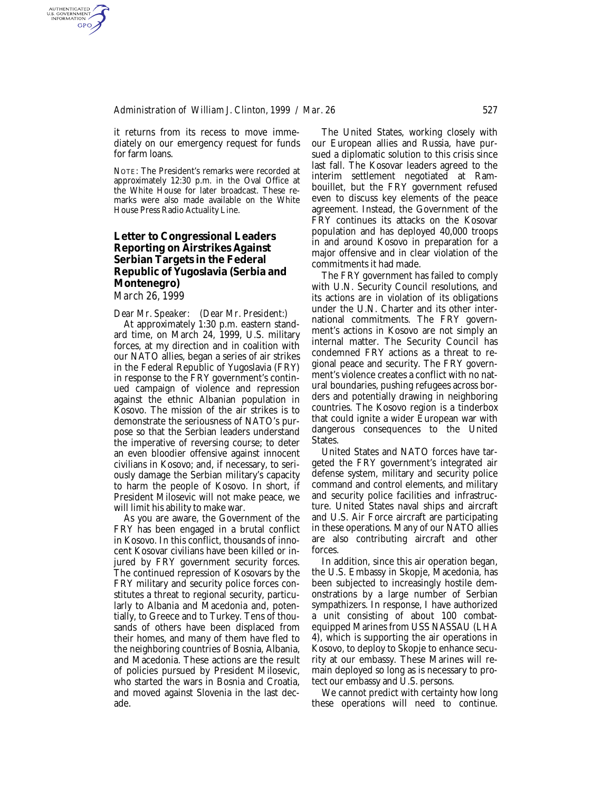## *Administration of William J. Clinton, 1999 / Mar. 26* 527

it returns from its recess to move immediately on our emergency request for funds for farm loans.

NOTE: The President's remarks were recorded at approximately 12:30 p.m. in the Oval Office at the White House for later broadcast. These remarks were also made available on the White House Press Radio Actuality Line.

# **Letter to Congressional Leaders Reporting on Airstrikes Against Serbian Targets in the Federal Republic of Yugoslavia (Serbia and Montenegro)**

*March 26, 1999*

AUTHENTICATED<br>U.S. GOVERNMENT<br>INFORMATION GPO

> *Dear Mr. Speaker: (Dear Mr. President:)* At approximately 1:30 p.m. eastern standard time, on March 24, 1999, U.S. military forces, at my direction and in coalition with our NATO allies, began a series of air strikes in the Federal Republic of Yugoslavia (FRY) in response to the FRY government's continued campaign of violence and repression against the ethnic Albanian population in Kosovo. The mission of the air strikes is to demonstrate the seriousness of NATO's purpose so that the Serbian leaders understand the imperative of reversing course; to deter an even bloodier offensive against innocent civilians in Kosovo; and, if necessary, to seriously damage the Serbian military's capacity to harm the people of Kosovo. In short, if President Milosevic will not make peace, we will limit his ability to make war.

> As you are aware, the Government of the FRY has been engaged in a brutal conflict in Kosovo. In this conflict, thousands of innocent Kosovar civilians have been killed or injured by FRY government security forces. The continued repression of Kosovars by the FRY military and security police forces constitutes a threat to regional security, particularly to Albania and Macedonia and, potentially, to Greece and to Turkey. Tens of thousands of others have been displaced from their homes, and many of them have fled to the neighboring countries of Bosnia, Albania, and Macedonia. These actions are the result of policies pursued by President Milosevic, who started the wars in Bosnia and Croatia, and moved against Slovenia in the last decade.

The United States, working closely with our European allies and Russia, have pursued a diplomatic solution to this crisis since last fall. The Kosovar leaders agreed to the interim settlement negotiated at Rambouillet, but the FRY government refused even to discuss key elements of the peace agreement. Instead, the Government of the FRY continues its attacks on the Kosovar population and has deployed 40,000 troops in and around Kosovo in preparation for a major offensive and in clear violation of the commitments it had made.

The FRY government has failed to comply with U.N. Security Council resolutions, and its actions are in violation of its obligations under the U.N. Charter and its other international commitments. The FRY government's actions in Kosovo are not simply an internal matter. The Security Council has condemned FRY actions as a threat to regional peace and security. The FRY government's violence creates a conflict with no natural boundaries, pushing refugees across borders and potentially drawing in neighboring countries. The Kosovo region is a tinderbox that could ignite a wider European war with dangerous consequences to the United States.

United States and NATO forces have targeted the FRY government's integrated air defense system, military and security police command and control elements, and military and security police facilities and infrastructure. United States naval ships and aircraft and U.S. Air Force aircraft are participating in these operations. Many of our NATO allies are also contributing aircraft and other forces.

In addition, since this air operation began, the U.S. Embassy in Skopje, Macedonia, has been subjected to increasingly hostile demonstrations by a large number of Serbian sympathizers. In response, I have authorized a unit consisting of about 100 combatequipped Marines from USS NASSAU (LHA 4), which is supporting the air operations in Kosovo, to deploy to Skopje to enhance security at our embassy. These Marines will remain deployed so long as is necessary to protect our embassy and U.S. persons.

We cannot predict with certainty how long these operations will need to continue.